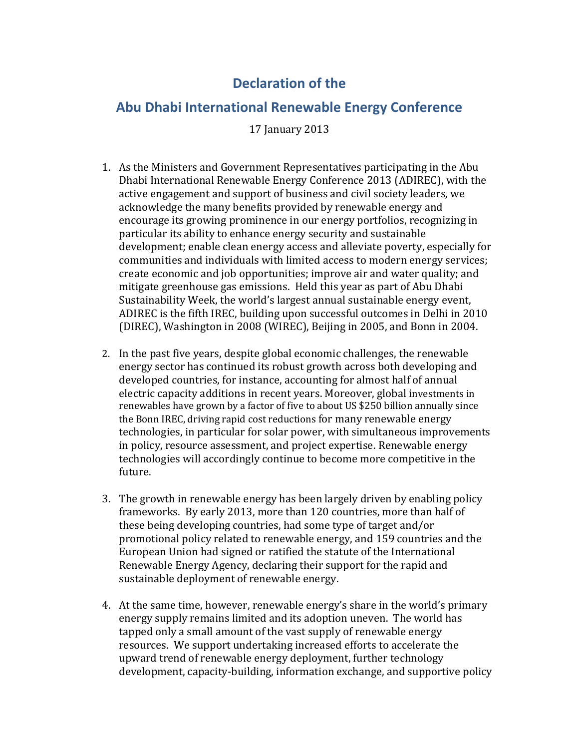## **Declaration of the**

## **Abu Dhabi International Renewable Energy Conference**

17 January 2013

- 1. As the Ministers and Government Representatives participating in the Abu Dhabi International Renewable Energy Conference 2013 (ADIREC), with the active engagement and support of business and civil society leaders, we acknowledge the many benefits provided by renewable energy and encourage its growing prominence in our energy portfolios, recognizing in particular its ability to enhance energy security and sustainable development; enable clean energy access and alleviate poverty, especially for communities and individuals with limited access to modern energy services; create economic and job opportunities; improve air and water quality; and mitigate greenhouse gas emissions. Held this year as part of Abu Dhabi Sustainability Week, the world's largest annual sustainable energy event, ADIREC is the fifth IREC, building upon successful outcomes in Delhi in 2010 (DIREC), Washington in 2008 (WIREC), Beijing in 2005, and Bonn in 2004.
- 2. In the past five years, despite global economic challenges, the renewable energy sector has continued its robust growth across both developing and developed countries, for instance, accounting for almost half of annual electric capacity additions in recent years. Moreover, global investments in renewables have grown by a factor of five to about US \$250 billion annually since the Bonn IREC, driving rapid cost reductions for many renewable energy technologies, in particular for solar power, with simultaneous improvements in policy, resource assessment, and project expertise. Renewable energy technologies will accordingly continue to become more competitive in the future.
- 3. The growth in renewable energy has been largely driven by enabling policy frameworks. By early 2013, more than 120 countries, more than half of these being developing countries, had some type of target and/or promotional policy related to renewable energy, and 159 countries and the European Union had signed or ratified the statute of the International Renewable Energy Agency, declaring their support for the rapid and sustainable deployment of renewable energy.
- 4. At the same time, however, renewable energy's share in the world's primary energy supply remains limited and its adoption uneven. The world has tapped only a small amount of the vast supply of renewable energy resources. We support undertaking increased efforts to accelerate the upward trend of renewable energy deployment, further technology development, capacity-building, information exchange, and supportive policy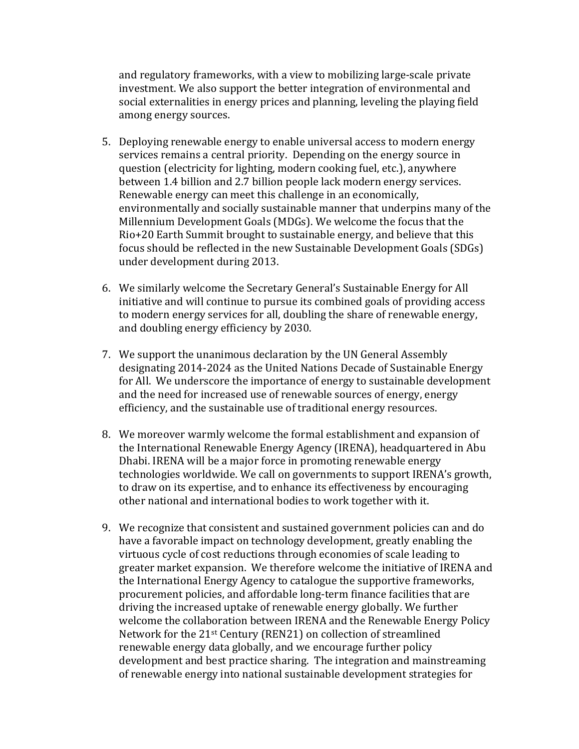and regulatory frameworks, with a view to mobilizing large-scale private investment. We also support the better integration of environmental and social externalities in energy prices and planning, leveling the playing field among energy sources.

- 5. Deploying renewable energy to enable universal access to modern energy services remains a central priority. Depending on the energy source in question (electricity for lighting, modern cooking fuel, etc.), anywhere between 1.4 billion and 2.7 billion people lack modern energy services. Renewable energy can meet this challenge in an economically, environmentally and socially sustainable manner that underpins many of the Millennium Development Goals (MDGs). We welcome the focus that the Rio+20 Earth Summit brought to sustainable energy, and believe that this focus should be reflected in the new Sustainable Development Goals (SDGs) under development during 2013.
- 6. We similarly welcome the Secretary General's Sustainable Energy for All initiative and will continue to pursue its combined goals of providing access to modern energy services for all, doubling the share of renewable energy, and doubling energy efficiency by 2030.
- 7. We support the unanimous declaration by the UN General Assembly designating 2014-2024 as the United Nations Decade of Sustainable Energy for All. We underscore the importance of energy to sustainable development and the need for increased use of renewable sources of energy, energy efficiency, and the sustainable use of traditional energy resources.
- 8. We moreover warmly welcome the formal establishment and expansion of the International Renewable Energy Agency (IRENA), headquartered in Abu Dhabi. IRENA will be a major force in promoting renewable energy technologies worldwide. We call on governments to support IRENA's growth, to draw on its expertise, and to enhance its effectiveness by encouraging other national and international bodies to work together with it.
- 9. We recognize that consistent and sustained government policies can and do have a favorable impact on technology development, greatly enabling the virtuous cycle of cost reductions through economies of scale leading to greater market expansion. We therefore welcome the initiative of IRENA and the International Energy Agency to catalogue the supportive frameworks, procurement policies, and affordable long-term finance facilities that are driving the increased uptake of renewable energy globally. We further welcome the collaboration between IRENA and the Renewable Energy Policy Network for the 21st Century (REN21) on collection of streamlined renewable energy data globally, and we encourage further policy development and best practice sharing. The integration and mainstreaming of renewable energy into national sustainable development strategies for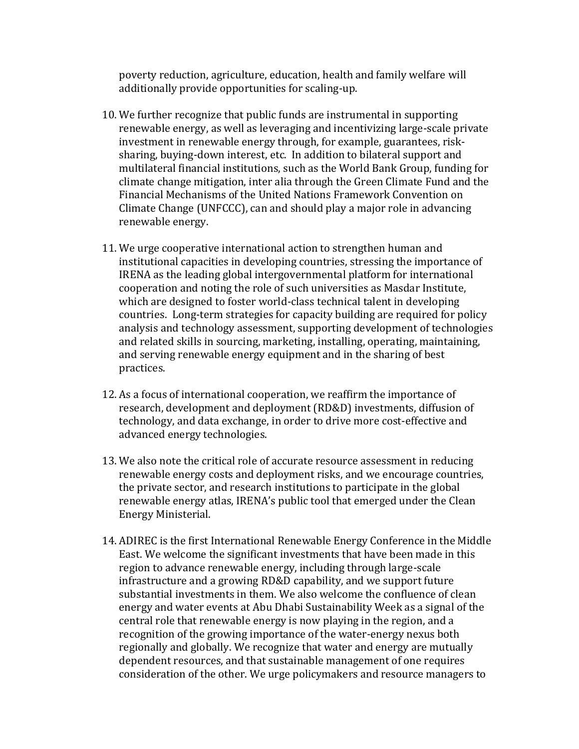poverty reduction, agriculture, education, health and family welfare will additionally provide opportunities for scaling-up.

- 10. We further recognize that public funds are instrumental in supporting renewable energy, as well as leveraging and incentivizing large-scale private investment in renewable energy through, for example, guarantees, risksharing, buying-down interest, etc. In addition to bilateral support and multilateral financial institutions, such as the World Bank Group, funding for climate change mitigation, inter alia through the Green Climate Fund and the Financial Mechanisms of the United Nations Framework Convention on Climate Change (UNFCCC), can and should play a major role in advancing renewable energy.
- 11. We urge cooperative international action to strengthen human and institutional capacities in developing countries, stressing the importance of IRENA as the leading global intergovernmental platform for international cooperation and noting the role of such universities as Masdar Institute, which are designed to foster world-class technical talent in developing countries. Long-term strategies for capacity building are required for policy analysis and technology assessment, supporting development of technologies and related skills in sourcing, marketing, installing, operating, maintaining, and serving renewable energy equipment and in the sharing of best practices.
- 12. As a focus of international cooperation, we reaffirm the importance of research, development and deployment (RD&D) investments, diffusion of technology, and data exchange, in order to drive more cost-effective and advanced energy technologies.
- 13. We also note the critical role of accurate resource assessment in reducing renewable energy costs and deployment risks, and we encourage countries, the private sector, and research institutions to participate in the global renewable energy atlas, IRENA's public tool that emerged under the Clean Energy Ministerial.
- 14. ADIREC is the first International Renewable Energy Conference in the Middle East. We welcome the significant investments that have been made in this region to advance renewable energy, including through large-scale infrastructure and a growing RD&D capability, and we support future substantial investments in them. We also welcome the confluence of clean energy and water events at Abu Dhabi Sustainability Week as a signal of the central role that renewable energy is now playing in the region, and a recognition of the growing importance of the water-energy nexus both regionally and globally. We recognize that water and energy are mutually dependent resources, and that sustainable management of one requires consideration of the other. We urge policymakers and resource managers to